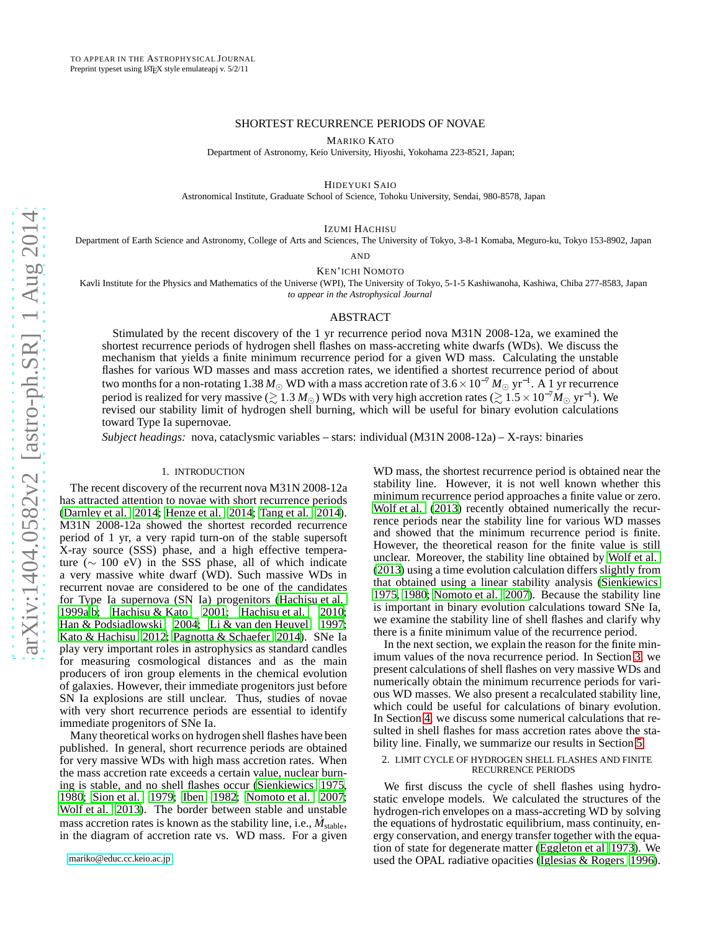## SHORTEST RECURRENCE PERIODS OF NOVAE

MARIKO KATO

Department of Astronomy, Keio University, Hiyoshi, Yokohama 223-8521, Japan;

HIDEYUKI SAIO

Astronomical Institute, Graduate School of Science, Tohoku University, Sendai, 980-8578, Japan

IZUMI HACHISU

Department of Earth Science and Astronomy, College of Arts and Sciences, The University of Tokyo, 3-8-1 Komaba, Meguro-ku, Tokyo 153-8902, Japan

AND

KEN'ICHI NOMOTO

Kavli Institute for the Physics and Mathematics of the Universe (WPI), The University of Tokyo, 5-1-5 Kashiwanoha, Kashiwa, Chiba 277-8583, Japan *to appear in the Astrophysical Journal*

### ABSTRACT

Stimulated by the recent discovery of the 1 yr recurrence period nova M31N 2008-12a, we examined the shortest recurrence periods of hydrogen shell flashes on mass-accreting white dwarfs (WDs). We discuss the mechanism that yields a finite minimum recurrence period for a given WD mass. Calculating the unstable flashes for various WD masses and mass accretion rates, we identified a shortest recurrence period of about two months for a non-rotating 1.38 *M*<sup>⊙</sup> WD with a mass accretion rate of 3.6×10−<sup>7</sup> *M*<sup>⊙</sup> yr−<sup>1</sup> . A 1 yr recurrence period is realized for very massive ( $\gtrsim 1.3\,M_\odot$ ) WDs with very high accretion rates ( $\gtrsim 1.5\times10^{-7}M_\odot$  yr<sup>−1</sup>). We revised our stability limit of hydrogen shell burning, which will be useful for binary evolution calculations toward Type Ia supernovae.

*Subject headings:* nova, cataclysmic variables – stars: individual (M31N 2008-12a) – X-rays: binaries

# 1. INTRODUCTION

The recent discovery of the recurrent nova M31N 2008-12a has attracted attention to novae with short recurrence periods [\(Darnley et al. 2014;](#page-7-0) [Henze et al. 2014;](#page-7-1) [Tang et al. 2014\)](#page-7-2). M31N 2008-12a showed the shortest recorded recurrence period of 1 yr, a very rapid turn-on of the stable supersoft X-ray source (SSS) phase, and a high effective temperature (∼ 100 eV) in the SSS phase, all of which indicate a very massive white dwarf (WD). Such massive WDs in recurrent novae are considered to be one of the candidates for Type Ia supernova (SN Ia) progenitors [\(Hachisu et al.](#page-7-3) [1999a](#page-7-3)[,b;](#page-7-4) [Hachisu & Kato 2001](#page-7-5); [Hachisu et al. 2010;](#page-7-6) [Han & Podsiadlowski 2004](#page-7-7); [Li & van den Heuvel 1997;](#page-7-8) [Kato & Hachisu 2012](#page-7-9); [Pagnotta & Schaefer 2014\)](#page-7-10). SNe Ia play very important roles in astrophysics as standard candles for measuring cosmological distances and as the main producers of iron group elements in the chemical evolution of galaxies. However, their immediate progenitors just before SN Ia explosions are still unclear. Thus, studies of novae with very short recurrence periods are essential to identify immediate progenitors of SNe Ia.

Many theoretical works on hydrogen shell flashes have been published. In general, short recurrence periods are obtained for very massive WDs with high mass accretion rates. When the mass accretion rate exceeds a certain value, nuclear burning is stable, and no shell flashes occur [\(Sienkiewics 1975,](#page-7-11) [1980;](#page-7-12) [Sion et al. 1979;](#page-7-13) [Iben 1982](#page-7-14); [Nomoto et al. 2007;](#page-7-15) [Wolf et al. 2013\)](#page-7-16). The border between stable and unstable mass accretion rates is known as the stability line, i.e., *M*<sub>stable</sub>, in the diagram of accretion rate vs. WD mass. For a given

WD mass, the shortest recurrence period is obtained near the stability line. However, it is not well known whether this minimum recurrence period approaches a finite value or zero. [Wolf et al. \(2013\)](#page-7-16) recently obtained numerically the recurrence periods near the stability line for various WD masses and showed that the minimum recurrence period is finite. However, the theoretical reason for the finite value is still unclear. Moreover, the stability line obtained by [Wolf et al.](#page-7-16) [\(2013\)](#page-7-16) using a time evolution calculation differs slightly from that obtained using a linear stability analysis [\(Sienkiewics](#page-7-11) [1975,](#page-7-11) [1980](#page-7-12); [Nomoto et al. 2007\)](#page-7-15). Because the stability line is important in binary evolution calculations toward SNe Ia, we examine the stability line of shell flashes and clarify why there is a finite minimum value of the recurrence period.

In the next section, we explain the reason for the finite minimum values of the nova recurrence period. In Section [3,](#page-2-0) we present calculations of shell flashes on very massive WDs and numerically obtain the minimum recurrence periods for various WD masses. We also present a recalculated stability line, which could be useful for calculations of binary evolution. In Section [4,](#page-4-0) we discuss some numerical calculations that resulted in shell flashes for mass accretion rates above the stability line. Finally, we summarize our results in Section [5.](#page-7-17)

## <span id="page-0-0"></span>2. LIMIT CYCLE OF HYDROGEN SHELL FLASHES AND FINITE RECURRENCE PERIODS

We first discuss the cycle of shell flashes using hydrostatic envelope models. We calculated the structures of the hydrogen-rich envelopes on a mass-accreting WD by solving the equations of hydrostatic equilibrium, mass continuity, energy conservation, and energy transfer together with the equation of state for degenerate matter [\(Eggleton et al 1973\)](#page-7-18). We used the OPAL radiative opacities [\(Iglesias & Rogers 1996](#page-7-19)).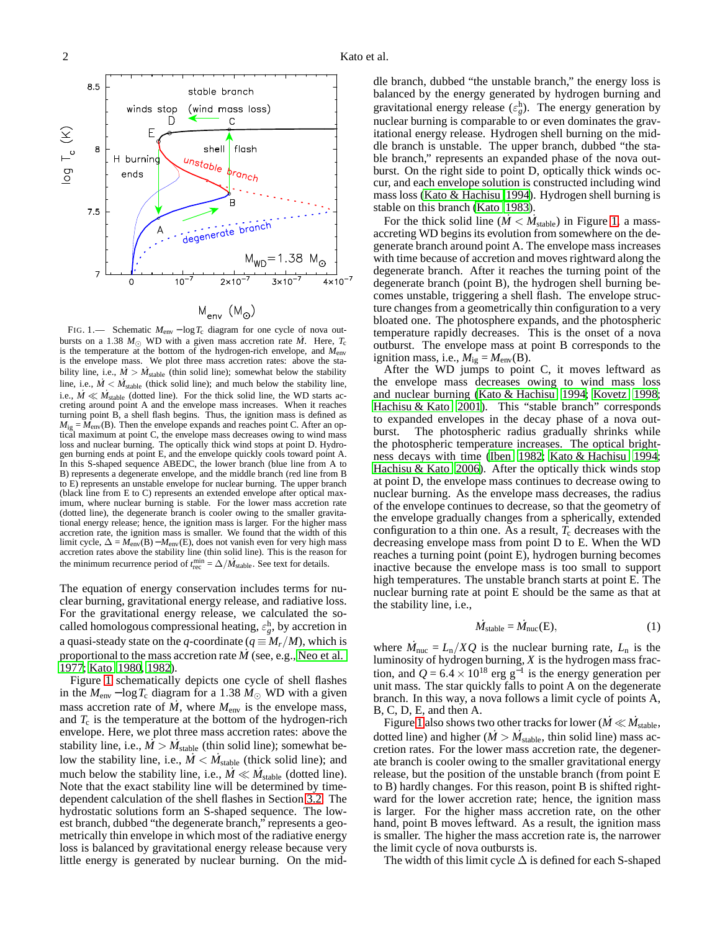

<span id="page-1-0"></span>FIG. 1.— Schematic *M*env − log*T*c diagram for one cycle of nova outbursts on a 1.38  $M_{\odot}$  WD with a given mass accretion rate  $\dot{M}$ . Here,  $T_c$ is the temperature at the bottom of the hydrogen-rich envelope, and *M*env is the envelope mass. We plot three mass accretion rates: above the stability line, i.e.,  $\dot{M} > \dot{M}_{stable}$  (thin solid line); somewhat below the stability line, i.e.,  $\dot{M} < \dot{M}_{stable}$  (thick solid line); and much below the stability line, i.e.,  $\dot{M} \ll \dot{M}_{stable}$  (dotted line). For the thick solid line, the WD starts accreting around point A and the envelope mass increases. When it reaches turning point B, a shell flash begins. Thus, the ignition mass is defined as  $M_{\text{ig}} = M_{\text{env}}(B)$ . Then the envelope expands and reaches point C. After an optical maximum at point C, the envelope mass decreases owing to wind mass loss and nuclear burning. The optically thick wind stops at point D. Hydrogen burning ends at point E, and the envelope quickly cools toward point A. In this S-shaped sequence ABEDC, the lower branch (blue line from A to B) represents a degenerate envelope, and the middle branch (red line from B to E) represents an unstable envelope for nuclear burning. The upper branch (black line from E to C) represents an extended envelope after optical maximum, where nuclear burning is stable. For the lower mass accretion rate (dotted line), the degenerate branch is cooler owing to the smaller gravitational energy release; hence, the ignition mass is larger. For the higher mass accretion rate, the ignition mass is smaller. We found that the width of this limit cycle,  $\Delta = M_{\text{env}}(B) - M_{\text{env}}(E)$ , does not vanish even for very high mass accretion rates above the stability line (thin solid line). This is the reason for the minimum recurrence period of  $t_{\text{rec}}^{\min} = \Delta / M_{\text{stable}}$ . See text for details.

The equation of energy conservation includes terms for nuclear burning, gravitational energy release, and radiative loss. For the gravitational energy release, we calculated the socalled homologous compressional heating,  $\varepsilon_g^{\text{h}}$ , by accretion in a quasi-steady state on the *q*-coordinate ( $q \equiv M_r/M$ ), which is proportional to the mass accretion rate *<sup>M</sup>*˙ (see, e.g., [Neo et al.](#page-7-20) [1977;](#page-7-20) [Kato 1980](#page-7-21), [1982](#page-7-22)).

Figure [1](#page-1-0) schematically depicts one cycle of shell flashes in the  $M_{\text{env}} - \log T_c$  diagram for a 1.38  $M_{\odot}$  WD with a given mass accretion rate of  $M$ , where  $M_{\text{env}}$  is the envelope mass, and  $T_c$  is the temperature at the bottom of the hydrogen-rich envelope. Here, we plot three mass accretion rates: above the stability line, i.e.,  $\dot{M} > \dot{M}_{stable}$  (thin solid line); somewhat below the stability line, i.e.,  $\dot{M} < \dot{M}_{stable}$  (thick solid line); and much below the stability line, i.e.,  $\vec{M} \ll \vec{M}_{stable}$  (dotted line). Note that the exact stability line will be determined by timedependent calculation of the shell flashes in Section [3.2.](#page-3-0) The hydrostatic solutions form an S-shaped sequence. The lowest branch, dubbed "the degenerate branch," represents a geometrically thin envelope in which most of the radiative energy loss is balanced by gravitational energy release because very little energy is generated by nuclear burning. On the middle branch, dubbed "the unstable branch," the energy loss is balanced by the energy generated by hydrogen burning and gravitational energy release  $(\varepsilon_g^h)$ . The energy generation by nuclear burning is comparable to or even dominates the gravitational energy release. Hydrogen shell burning on the middle branch is unstable. The upper branch, dubbed "the stable branch," represents an expanded phase of the nova outburst. On the right side to point D, optically thick winds occur, and each envelope solution is constructed including wind mass loss [\(Kato & Hachisu 1994](#page-7-23)). Hydrogen shell burning is stable on this branch [\(Kato 1983\)](#page-7-24).

For the thick solid line ( $\dot{M} < M_{stable}$ ) in Figure [1,](#page-1-0) a massaccreting WD begins its evolution from somewhere on the degenerate branch around point A. The envelope mass increases with time because of accretion and moves rightward along the degenerate branch. After it reaches the turning point of the degenerate branch (point B), the hydrogen shell burning becomes unstable, triggering a shell flash. The envelope structure changes from a geometrically thin configuration to a very bloated one. The photosphere expands, and the photospheric temperature rapidly decreases. This is the onset of a nova outburst. The envelope mass at point B corresponds to the ignition mass, i.e.,  $M_{ig} = M_{env}(B)$ .

After the WD jumps to point C, it moves leftward as the envelope mass decreases owing to wind mass loss and nuclear burning [\(Kato & Hachisu 1994](#page-7-23); [Kovetz 1998](#page-7-25); [Hachisu & Kato 2001](#page-7-5)). This "stable branch" corresponds to expanded envelopes in the decay phase of a nova outburst. The photospheric radius gradually shrinks while the photospheric temperature increases. The optical brightness decays with time [\(Iben 1982](#page-7-14); [Kato & Hachisu 1994](#page-7-23); [Hachisu & Kato 2006\)](#page-7-26). After the optically thick winds stop at point D, the envelope mass continues to decrease owing to nuclear burning. As the envelope mass decreases, the radius of the envelope continues to decrease, so that the geometry of the envelope gradually changes from a spherically, extended configuration to a thin one. As a result,  $T_c$  decreases with the decreasing envelope mass from point D to E. When the WD reaches a turning point (point E), hydrogen burning becomes inactive because the envelope mass is too small to support high temperatures. The unstable branch starts at point E. The nuclear burning rate at point E should be the same as that at the stability line, i.e.,

$$
\dot{M}_{stable} = \dot{M}_{nuc}(E),\tag{1}
$$

where  $\dot{M}_{\text{nuc}} = L_{\text{n}}/XQ$  is the nuclear burning rate,  $L_{\text{n}}$  is the luminosity of hydrogen burning, *X* is the hydrogen mass fraction, and  $Q = 6.4 \times 10^{18}$  erg g<sup>-1</sup> is the energy generation per unit mass. The star quickly falls to point A on the degenerate branch. In this way, a nova follows a limit cycle of points A, B, C, D, E, and then A.

Figure [1](#page-1-0) also shows two other tracks for lower ( $\dot{M} \ll \dot{M}_{stable}$ , dotted line) and higher  $(M > M_{stable}$ , thin solid line) mass accretion rates. For the lower mass accretion rate, the degenerate branch is cooler owing to the smaller gravitational energy release, but the position of the unstable branch (from point E to B) hardly changes. For this reason, point B is shifted rightward for the lower accretion rate; hence, the ignition mass is larger. For the higher mass accretion rate, on the other hand, point B moves leftward. As a result, the ignition mass is smaller. The higher the mass accretion rate is, the narrower the limit cycle of nova outbursts is.

The width of this limit cycle  $\Delta$  is defined for each S-shaped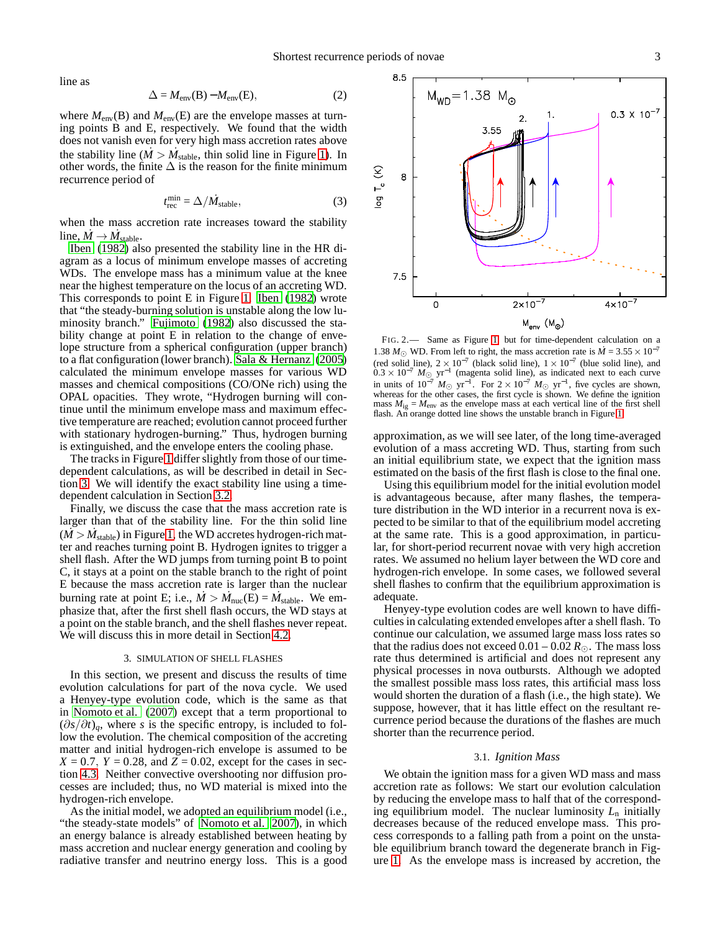line as

$$
\Delta = M_{\rm env}(B) - M_{\rm env}(E),\tag{2}
$$

where  $M_{\text{env}}(B)$  and  $M_{\text{env}}(E)$  are the envelope masses at turning points B and E, respectively. We found that the width does not vanish even for very high mass accretion rates above the stability line  $(M > M_{stable}$ , thin solid line in Figure [1\)](#page-1-0). In other words, the finite  $\Delta$  is the reason for the finite minimum recurrence period of

$$
t_{\rm rec}^{\rm min} = \Delta / \dot{M}_{\rm stable},\tag{3}
$$

when the mass accretion rate increases toward the stability line,  $\dot{M} \rightarrow \dot{M}_{stable}$ .

[Iben \(1982](#page-7-14)) also presented the stability line in the HR diagram as a locus of minimum envelope masses of accreting WDs. The envelope mass has a minimum value at the knee near the highest temperature on the locus of an accreting WD. This corresponds to point E in Figure [1.](#page-1-0) [Iben \(1982\)](#page-7-14) wrote that "the steady-burning solution is unstable along the low luminosity branch." [Fujimoto \(1982\)](#page-7-27) also discussed the stability change at point E in relation to the change of envelope structure from a spherical configuration (upper branch) to a flat configuration (lower branch). [Sala & Hernanz \(2005\)](#page-7-28) calculated the minimum envelope masses for various WD masses and chemical compositions (CO/ONe rich) using the OPAL opacities. They wrote, "Hydrogen burning will continue until the minimum envelope mass and maximum effective temperature are reached; evolution cannot proceed further with stationary hydrogen-burning." Thus, hydrogen burning is extinguished, and the envelope enters the cooling phase.

The tracks in Figure [1](#page-1-0) differ slightly from those of our timedependent calculations, as will be described in detail in Section [3.](#page-2-0) We will identify the exact stability line using a timedependent calculation in Section [3.2.](#page-3-0)

Finally, we discuss the case that the mass accretion rate is larger than that of the stability line. For the thin solid line  $(M > M<sub>stable</sub>)$  in Figure [1,](#page-1-0) the WD accretes hydrogen-rich matter and reaches turning point B. Hydrogen ignites to trigger a shell flash. After the WD jumps from turning point B to point C, it stays at a point on the stable branch to the right of point E because the mass accretion rate is larger than the nuclear burning rate at point E; i.e.,  $\dot{M} > \dot{M}_{\text{nuc}}(E) = \dot{M}_{\text{stable}}$ . We emphasize that, after the first shell flash occurs, the WD stays at a point on the stable branch, and the shell flashes never repeat. We will discuss this in more detail in Section [4.2.](#page-5-0)

## 3. SIMULATION OF SHELL FLASHES

<span id="page-2-0"></span>In this section, we present and discuss the results of time evolution calculations for part of the nova cycle. We used a Henyey-type evolution code, which is the same as that in [Nomoto et al. \(2007\)](#page-7-15) except that a term proportional to  $(\partial s/\partial t)_q$ , where *s* is the specific entropy, is included to follow the evolution. The chemical composition of the accreting matter and initial hydrogen-rich envelope is assumed to be  $X = 0.7$ ,  $Y = 0.28$ , and  $Z = 0.02$ , except for the cases in section [4.3.](#page-6-0) Neither convective overshooting nor diffusion processes are included; thus, no WD material is mixed into the hydrogen-rich envelope.

As the initial model, we adopted an equilibrium model (i.e., "the steady-state models" of [Nomoto et al. 2007](#page-7-15)), in which an energy balance is already established between heating by mass accretion and nuclear energy generation and cooling by radiative transfer and neutrino energy loss. This is a good



<span id="page-2-1"></span>FIG. 2.— Same as Figure [1,](#page-1-0) but for time-dependent calculation on a 1.38  $M_{\odot}$  WD. From left to right, the mass accretion rate is  $\dot{M} = 3.55 \times 10^{-7}$ (red solid line),  $2 \times 10^{-7}$  (black solid line),  $1 \times 10^{-7}$  (blue solid line), and  $0.3 \times 10^{-7}$  *M*<sub>○</sub> yr<sup>-1</sup> (magenta solid line), as indicated next to each curve in units of  $10^{-7}$   $M_{\odot}$  yr<sup>-1</sup>. For  $2 \times 10^{-7}$   $M_{\odot}$  yr<sup>-1</sup>, five cycles are shown, whereas for the other cases, the first cycle is shown. We define the ignition mass  $M_{ig} = M_{env}$  as the envelope mass at each vertical line of the first shell flash. An orange dotted line shows the unstable branch in Figure [1.](#page-1-0)

approximation, as we will see later, of the long time-averaged evolution of a mass accreting WD. Thus, starting from such an initial equilibrium state, we expect that the ignition mass estimated on the basis of the first flash is close to the final one.

Using this equilibrium model for the initial evolution model is advantageous because, after many flashes, the temperature distribution in the WD interior in a recurrent nova is expected to be similar to that of the equilibrium model accreting at the same rate. This is a good approximation, in particular, for short-period recurrent novae with very high accretion rates. We assumed no helium layer between the WD core and hydrogen-rich envelope. In some cases, we followed several shell flashes to confirm that the equilibrium approximation is adequate.

Henyey-type evolution codes are well known to have difficulties in calculating extended envelopes after a shell flash. To continue our calculation, we assumed large mass loss rates so that the radius does not exceed  $0.01 - 0.02 R_{\odot}$ . The mass loss rate thus determined is artificial and does not represent any physical processes in nova outbursts. Although we adopted the smallest possible mass loss rates, this artificial mass loss would shorten the duration of a flash (i.e., the high state). We suppose, however, that it has little effect on the resultant recurrence period because the durations of the flashes are much shorter than the recurrence period.

## 3.1. *Ignition Mass*

We obtain the ignition mass for a given WD mass and mass accretion rate as follows: We start our evolution calculation by reducing the envelope mass to half that of the corresponding equilibrium model. The nuclear luminosity *L*<sup>n</sup> initially decreases because of the reduced envelope mass. This process corresponds to a falling path from a point on the unstable equilibrium branch toward the degenerate branch in Figure [1.](#page-1-0) As the envelope mass is increased by accretion, the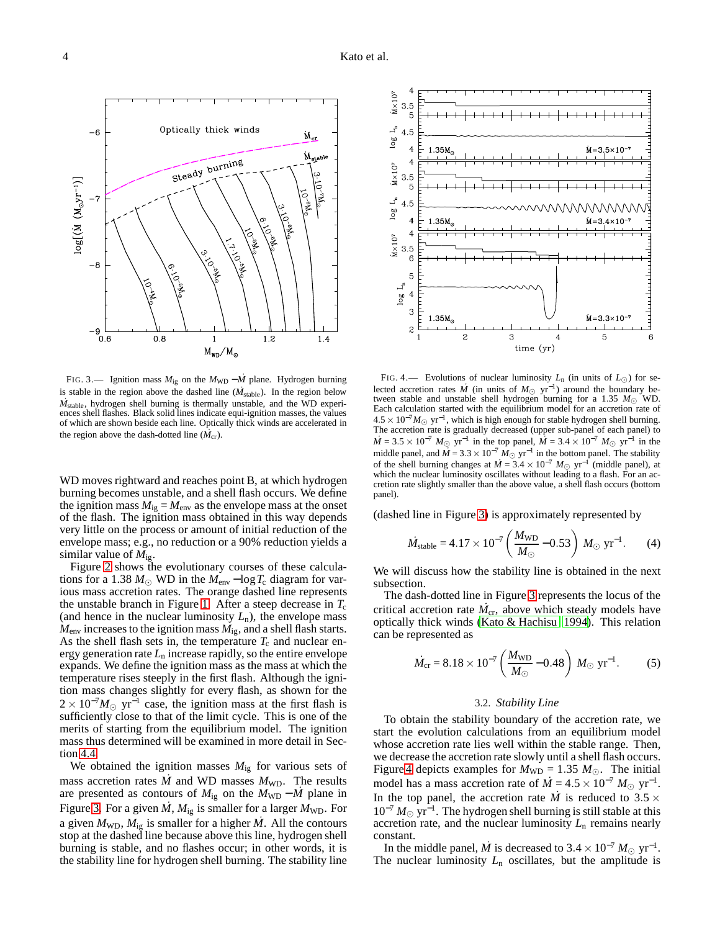$\rm M_{\rm cr}$ 

 $M_{\rm global}$ 

**DE-TAG-**

ج<br>اچ

Ellis Dr.

**CONSTRUCTION** 

**1979.11** 

**PARKS OF THE PARK** 



C.C. Co.

Optically thick winds

Steady

burning

<span id="page-3-1"></span>is stable in the region above the dashed line  $(M_{stable})$ . In the region below *M*<sub>stable</sub>, hydrogen shell burning is thermally unstable, and the WD experiences shell flashes. Black solid lines indicate equi-ignition masses, the values of which are shown beside each line. Optically thick winds are accelerated in the region above the dash-dotted line  $(M_{cr})$ .

WD moves rightward and reaches point B, at which hydrogen burning becomes unstable, and a shell flash occurs. We define the ignition mass  $M_{ig} = M_{env}$  as the envelope mass at the onset of the flash. The ignition mass obtained in this way depends very little on the process or amount of initial reduction of the envelope mass; e.g., no reduction or a 90% reduction yields a similar value of *M*ig.

Figure [2](#page-2-1) shows the evolutionary courses of these calculations for a 1.38  $M_{\odot}$  WD in the  $M_{\text{env}}$  – log  $T_c$  diagram for various mass accretion rates. The orange dashed line represents the unstable branch in Figure [1.](#page-1-0) After a steep decrease in  $T_c$ (and hence in the nuclear luminosity  $L_n$ ), the envelope mass  $M_{\text{env}}$  increases to the ignition mass  $M_{\text{iv}}$ , and a shell flash starts. As the shell flash sets in, the temperature  $T_c$  and nuclear energy generation rate *L*<sup>n</sup> increase rapidly, so the entire envelope expands. We define the ignition mass as the mass at which the temperature rises steeply in the first flash. Although the ignition mass changes slightly for every flash, as shown for the  $2 \times 10^{-7} M_{\odot}$  yr<sup>-1</sup> case, the ignition mass at the first flash is sufficiently close to that of the limit cycle. This is one of the merits of starting from the equilibrium model. The ignition mass thus determined will be examined in more detail in Section [4.4.](#page-6-1)

We obtained the ignition masses  $M_{ig}$  for various sets of mass accretion rates  $\dot{M}$  and WD masses  $M_{WD}$ . The results are presented as contours of  $M_{ig}$  on the  $M_{WD} - \dot{M}$  plane in Figure [3.](#page-3-1) For a given  $\dot{M}$ ,  $M_{ig}$  is smaller for a larger  $M_{WD}$ . For a given  $M_{\text{WD}}$ ,  $M_{\text{1g}}$  is smaller for a higher  $\dot{M}$ . All the contours stop at the dashed line because above this line, hydrogen shell burning is stable, and no flashes occur; in other words, it is the stability line for hydrogen shell burning. The stability line



<span id="page-3-2"></span>FIG. 4.— Evolutions of nuclear luminosity  $L_n$  (in units of  $L_{\odot}$ ) for selected accretion rates *M* (in units of  $M_{\odot}$  yr<sup>-1</sup>) around the boundary between stable and unstable shell hydrogen burning for a 1.35 *M*⊙ WD. Each calculation started with the equilibrium model for an accretion rate of  $4.5 \times 10^{-7} M_{\odot}$  yr<sup>-1</sup>, which is high enough for stable hydrogen shell burning. The accretion rate is gradually decreased (upper sub-panel of each panel) to  $\dot{M} = 3.5 \times 10^{-7} M_{\odot}$  yr<sup>-1</sup> in the top panel,  $\dot{M} = 3.4 \times 10^{-7} M_{\odot}$  yr<sup>-1</sup> in the middle panel, and  $\overrightarrow{M}$  = 3.3 × 10<sup>-7</sup>  $\overrightarrow{M_{\odot}}$  yr<sup>-1</sup> in the bottom panel. The stability of the shell burning changes at  $\dot{M} = 3.4 \times 10^{-7} M_{\odot}$  yr<sup>-1</sup> (middle panel), at which the nuclear luminosity oscillates without leading to a flash. For an accretion rate slightly smaller than the above value, a shell flash occurs (bottom panel).

(dashed line in Figure [3\)](#page-3-1) is approximately represented by

$$
\dot{M}_{\text{stable}} = 4.17 \times 10^{-7} \left( \frac{M_{\text{WD}}}{M_{\odot}} - 0.53 \right) M_{\odot} \text{ yr}^{-1}. \qquad (4)
$$

We will discuss how the stability line is obtained in the next subsection.

The dash-dotted line in Figure [3](#page-3-1) represents the locus of the critical accretion rate  $\dot{M}_{cr}$ , above which steady models have optically thick winds [\(Kato & Hachisu 1994\)](#page-7-23). This relation can be represented as

$$
\dot{M}_{\rm cr} = 8.18 \times 10^{-7} \left( \frac{M_{\rm WD}}{M_{\odot}} - 0.48 \right) M_{\odot} \, \text{yr}^{-1}. \tag{5}
$$

### 3.2. *Stability Line*

<span id="page-3-0"></span>To obtain the stability boundary of the accretion rate, we start the evolution calculations from an equilibrium model whose accretion rate lies well within the stable range. Then, we decrease the accretion rate slowly until a shell flash occurs. Figure [4](#page-3-2) depicts examples for  $M_{WD} = 1.35 M_{\odot}$ . The initial model has a mass accretion rate of  $\dot{M} = 4.5 \times 10^{-7} M_{\odot} \text{ yr}^{-1}$ . In the top panel, the accretion rate  $\dot{M}$  is reduced to 3.5  $\times$ 10<sup>-7</sup>  $M_{\odot}$  yr<sup>-1</sup>. The hydrogen shell burning is still stable at this accretion rate, and the nuclear luminosity  $L_n$  remains nearly constant.

In the middle panel, *M* is decreased to  $3.4 \times 10^{-7} M_{\odot}$  yr<sup>-1</sup>. The nuclear luminosity  $L_n$  oscillates, but the amplitude is

 $-6$ 

 $-8$ 

 $log[(M (M_{\odot}yr^{-1})]$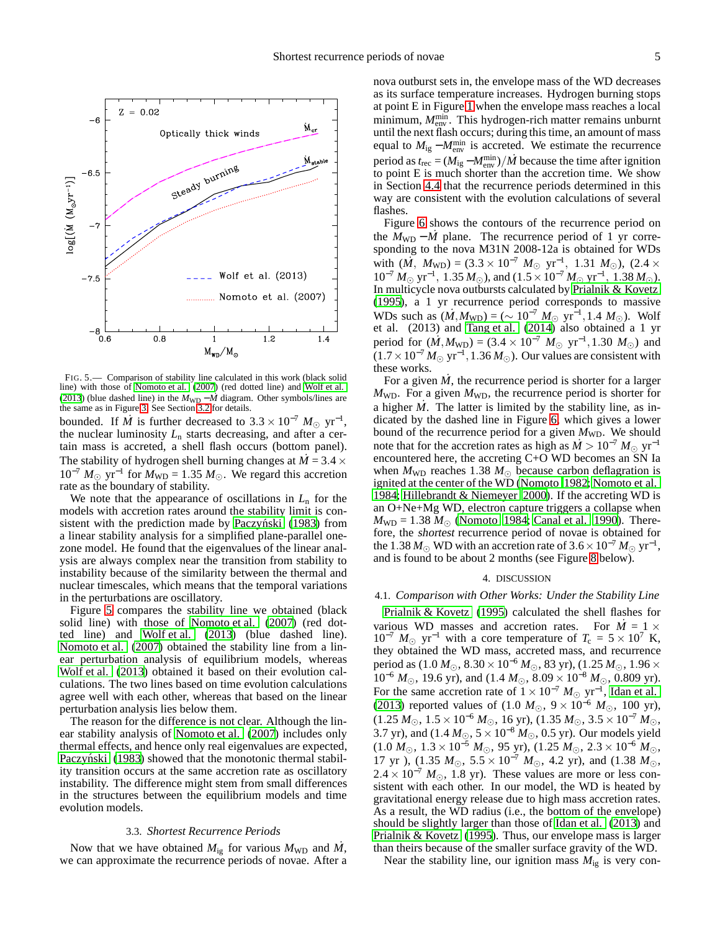

<span id="page-4-1"></span>FIG. 5.— Comparison of stability line calculated in this work (black solid line) with those of [Nomoto et al. \(2007\)](#page-7-15) (red dotted line) and [Wolf et al.](#page-7-16) [\(2013](#page-7-16)) (blue dashed line) in the  $M_{WD} - \dot{M}$  diagram. Other symbols/lines are the same as in Figure [3.](#page-3-1) See Section [3.2](#page-3-0) for details.

bounded. If *M*<sup> $\dot{M}$ </sup> is further decreased to 3.3 × 10<sup>-7</sup>  $M_{\odot}$  yr<sup>-1</sup>, the nuclear luminosity  $L_n$  starts decreasing, and after a certain mass is accreted, a shell flash occurs (bottom panel). The stability of hydrogen shell burning changes at  $M = 3.4 \times$  $10^{-7} M_{\odot}$  yr<sup>-1</sup> for  $M_{\text{WD}} = 1.35 M_{\odot}$ . We regard this accretion rate as the boundary of stability.

We note that the appearance of oscillations in  $L_n$  for the models with accretion rates around the stability limit is consistent with the prediction made by Paczyński (1983) from a linear stability analysis for a simplified plane-parallel onezone model. He found that the eigenvalues of the linear analysis are always complex near the transition from stability to instability because of the similarity between the thermal and nuclear timescales, which means that the temporal variations in the perturbations are oscillatory.

Figure [5](#page-4-1) compares the stability line we obtained (black solid line) with those of [Nomoto et al. \(2007\)](#page-7-15) (red dotted line) and [Wolf et al. \(2013\)](#page-7-16) (blue dashed line). [Nomoto et al. \(2007](#page-7-15)) obtained the stability line from a linear perturbation analysis of equilibrium models, whereas [Wolf et al. \(2013\)](#page-7-16) obtained it based on their evolution calculations. The two lines based on time evolution calculations agree well with each other, whereas that based on the linear perturbation analysis lies below them.

The reason for the difference is not clear. Although the linear stability analysis of [Nomoto et al. \(2007\)](#page-7-15) includes only thermal effects, and hence only real eigenvalues are expected, Paczyński [\(1983\)](#page-7-29) showed that the monotonic thermal stability transition occurs at the same accretion rate as oscillatory instability. The difference might stem from small differences in the structures between the equilibrium models and time evolution models.

### 3.3. *Shortest Recurrence Periods*

<span id="page-4-2"></span>Now that we have obtained  $M_{ig}$  for various  $M_{WD}$  and  $M$ , we can approximate the recurrence periods of novae. After a nova outburst sets in, the envelope mass of the WD decreases as its surface temperature increases. Hydrogen burning stops at point E in Figure [1](#page-1-0) when the envelope mass reaches a local minimum,  $M_{\text{env}}^{\text{min}}$ . This hydrogen-rich matter remains unburnt until the next flash occurs; during this time, an amount of mass equal to  $M_{ig} - M_{env}^{min}$  is accreted. We estimate the recurrence period as  $t_{\text{rec}} = (M_{\text{ig}} - M_{\text{env}}^{\text{min}})/\dot{M}$  because the time after ignition to point E is much shorter than the accretion time. We show in Section [4.4](#page-6-1) that the recurrence periods determined in this way are consistent with the evolution calculations of several flashes.

Figure [6](#page-5-1) shows the contours of the recurrence period on the  $M_{WD} - \dot{M}$  plane. The recurrence period of 1 yr corresponding to the nova M31N 2008-12a is obtained for WDs with  $(M, M_{WD}) = (3.3 \times 10^{-7} M_{\odot} \text{ yr}^{-1}, 1.31 M_{\odot})$ ,  $(2.4 \times$  $10^{-7} M_{\odot} \text{ yr}^{-1}$ ,  $1.35 M_{\odot}$ ), and  $(1.5 \times 10^{-7} M_{\odot} \text{ yr}^{-1}$ ,  $1.38 M_{\odot}$ ). In multicycle nova outbursts calculated by [Prialnik & Kovetz](#page-7-30) [\(1995\)](#page-7-30), a 1 yr recurrence period corresponds to massive WDs such as  $(M, M_{WD}) = (\sim 10^{-7} M_{\odot} \text{ yr}^{-1}, 1.4 M_{\odot})$ . Wolf et al. (2013) and [Tang et al. \(2014](#page-7-2)) also obtained a 1 yr period for  $(M, M_{WD}) = (3.4 \times 10^{-7} M_{\odot} \text{ yr}^{-1}, 1.30 M_{\odot})$  and  $(1.7 \times 10^{-7} M_{\odot} \text{ yr}^{-1}, 1.36 M_{\odot})$ . Our values are consistent with these works.

For a given  $\dot{M}$ , the recurrence period is shorter for a larger  $M_{WD}$ . For a given  $M_{WD}$ , the recurrence period is shorter for a higher  $\dot{M}$ . The latter is limited by the stability line, as indicated by the dashed line in Figure [6,](#page-5-1) which gives a lower bound of the recurrence period for a given  $M_{WD}$ . We should note that for the accretion rates as high as  $\dot{M} > 10^{-7} M_{\odot}$  yr<sup>-1</sup> encountered here, the accreting C+O WD becomes an SN Ia when  $M_{WD}$  reaches 1.38  $M_{\odot}$  because carbon deflagration is ignited at the center of the WD [\(Nomoto 1982;](#page-7-31) [Nomoto et al.](#page-7-32) [1984;](#page-7-32) [Hillebrandt & Niemeyer 2000\)](#page-7-33). If the accreting WD is an O+Ne+Mg WD, electron capture triggers a collapse when  $M_{WD} = 1.38 M_{\odot}$  [\(Nomoto 1984;](#page-7-34) [Canal et al. 1990](#page-7-35)). Therefore, the shortest recurrence period of novae is obtained for the 1.38  $M_{\odot}$  WD with an accretion rate of 3.6 × 10<sup>-7</sup>  $M_{\odot}$  yr<sup>-1</sup>, and is found to be about 2 months (see Figure [8](#page-6-2) below).

# 4. DISCUSSION

## <span id="page-4-0"></span>4.1. *Comparison with Other Works: Under the Stability Line*

[Prialnik & Kovetz](#page-7-30) [\(1995\)](#page-7-30) calculated the shell flashes for various WD masses and accretion rates. For  $M = 1 \times$  $10^{-7}$  *M*<sub>☉</sub> yr<sup>-1</sup> with a core temperature of  $T_c = 5 \times 10^7$  K, they obtained the WD mass, accreted mass, and recurrence period as (1.0 *M*⊙, 8.30×10<sup>−</sup><sup>6</sup> *M*⊙, 83 yr), (1.25 *M*⊙, 1.96× 10<sup>−</sup><sup>6</sup> *M*⊙, 19.6 yr), and (1.4 *M*⊙, 8.09 × 10<sup>−</sup><sup>8</sup> *M*⊙, 0.809 yr). For the same accretion rate of  $1 \times 10^{-7}$   $M_{\odot}$  yr<sup>-1</sup>, [Idan et al.](#page-7-36) [\(2013\)](#page-7-36) reported values of (1.0 *M*⊙, 9 × 10<sup>−</sup><sup>6</sup> *M*⊙, 100 yr),  $(1.25 M<sub>⊙</sub>, 1.5 × 10<sup>-6</sup> M<sub>⊙</sub>, 16 yr), (1.35 M<sub>⊙</sub>, 3.5 × 10<sup>-7</sup> M<sub>⊙</sub>,$ 3.7 yr), and (1.4  $M_{\odot}$ , 5 × 10<sup>-8</sup>  $M_{\odot}$ , 0.5 yr). Our models yield  $(1.0 M<sub>©</sub>, 1.3 × 10<sup>-5</sup> M<sub>©</sub>, 95 yr), (1.25 M<sub>©</sub>, 2.3 × 10<sup>-6</sup> M<sub>©</sub>$ 17 yr), (1.35  $M_{\odot}$ , 5.5 × 10<sup>-7</sup>  $M_{\odot}$ , 4.2 yr), and (1.38  $M_{\odot}$ ,  $2.4 \times 10^{-7}$  *M*<sub>⊙</sub>, 1.8 yr). These values are more or less consistent with each other. In our model, the WD is heated by gravitational energy release due to high mass accretion rates. As a result, the WD radius (i.e., the bottom of the envelope) should be slightly larger than those of [Idan et al.](#page-7-36) [\(2013\)](#page-7-36) and [Prialnik & Kovetz](#page-7-30) [\(1995\)](#page-7-30). Thus, our envelope mass is larger than theirs because of the smaller surface gravity of the WD.

Near the stability line, our ignition mass  $M_{ig}$  is very con-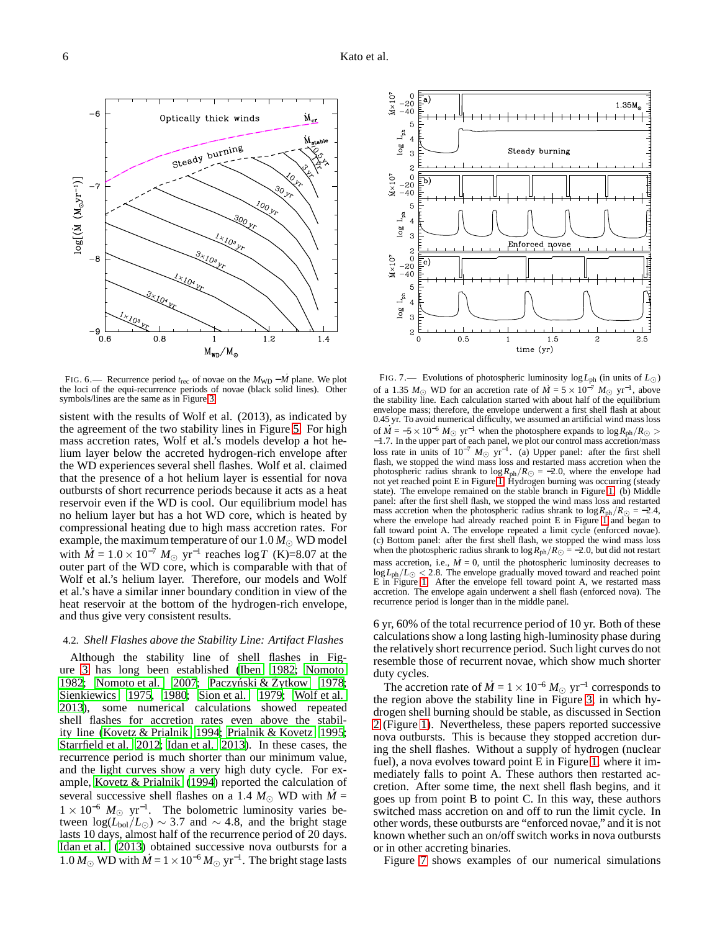

<span id="page-5-1"></span><sup>F</sup>IG. 6.— Recurrence period *<sup>t</sup>*rec of novae on the *<sup>M</sup>*WD <sup>−</sup> *<sup>M</sup>*˙ plane. We plot the loci of the equi-recurrence periods of novae (black solid lines). Other symbols/lines are the same as in Figure [3.](#page-3-1)

sistent with the results of Wolf et al. (2013), as indicated by the agreement of the two stability lines in Figure [5.](#page-4-1) For high mass accretion rates, Wolf et al.'s models develop a hot helium layer below the accreted hydrogen-rich envelope after the WD experiences several shell flashes. Wolf et al. claimed that the presence of a hot helium layer is essential for nova outbursts of short recurrence periods because it acts as a heat reservoir even if the WD is cool. Our equilibrium model has no helium layer but has a hot WD core, which is heated by compressional heating due to high mass accretion rates. For example, the maximum temperature of our  $1.0\,M_\odot$  WD model with  $\dot{M} = 1.0 \times 10^{-7} M_{\odot}$  yr<sup>-1</sup> reaches log *T* (K)=8.07 at the outer part of the WD core, which is comparable with that of Wolf et al.'s helium layer. Therefore, our models and Wolf et al.'s have a similar inner boundary condition in view of the heat reservoir at the bottom of the hydrogen-rich envelope, and thus give very consistent results.

# <span id="page-5-0"></span>4.2. *Shell Flashes above the Stability Line: Artifact Flashes*

Although the stability line of shell flashes in Figure [3](#page-3-1) has long been established [\(Iben 1982;](#page-7-14) [Nomoto](#page-7-31) [1982;](#page-7-31) Nomoto et al.  $2007$ ; Paczyński & Żytkow [1978;](#page-7-37) [Sienkiewics 1975,](#page-7-11) [1980;](#page-7-12) [Sion et al. 1979;](#page-7-13) [Wolf et al.](#page-7-16) [2013\)](#page-7-16), some numerical calculations showed repeated shell flashes for accretion rates even above the stability line [\(Kovetz & Prialnik 1994;](#page-7-38) [Prialnik & Kovetz 1995;](#page-7-30) [Starrfield et al. 2012](#page-7-39); [Idan et al. 2013\)](#page-7-36). In these cases, the recurrence period is much shorter than our minimum value, and the light curves show a very high duty cycle. For example, [Kovetz & Prialnik \(1994](#page-7-38)) reported the calculation of several successive shell flashes on a 1.4  $M_{\odot}$  WD with  $\dot{M}$  =  $1 \times 10^{-6}$   $M_{\odot}$  yr<sup>-1</sup>. The bolometric luminosity varies between  $log(L_{bol}/L_{\odot}) \sim 3.7$  and  $\sim 4.8$ , and the bright stage lasts 10 days, almost half of the recurrence period of 20 days. [Idan et al.](#page-7-36) [\(2013\)](#page-7-36) obtained successive nova outbursts for a 1.0  $M_{\odot}$  WD with  $\dot{M} = 1 \times 10^{-6} M_{\odot}$  yr<sup>-1</sup>. The bright stage lasts



<span id="page-5-2"></span>FIG. 7.— Evolutions of photospheric luminosity log*L*ph (in units of *L*⊙) of a 1.35 *M*<sub>☉</sub> WD for an accretion rate of  $\dot{M} = 5 \times 10^{-7} M_{\odot}$  yr<sup>-1</sup>, above the stability line. Each calculation started with about half of the equilibrium envelope mass; therefore, the envelope underwent a first shell flash at about 0.45 yr. To avoid numerical difficulty, we assumed an artificial wind mass loss of  $\dot{M} = -5 \times 10^{-6}$   $M_{\odot}$  yr<sup>-1</sup> when the photosphere expands to  $\log R_{\rm ph}/R_{\odot}$ −1.7. In the upper part of each panel, we plot our control mass accretion/mass loss rate in units of  $10^{-7}$   $M_{\odot}$  yr<sup>-1</sup>. (a) Upper panel: after the first shell flash, we stopped the wind mass loss and restarted mass accretion when the photospheric radius shrank to  $\log R_{ph}/R_{\odot} = -2.0$ , where the envelope had not yet reached point E in Figure [1.](#page-1-0) Hydrogen burning was occurring (steady state). The envelope remained on the stable branch in Figure [1.](#page-1-0) (b) Middle panel: after the first shell flash, we stopped the wind mass loss and restarted mass accretion when the photospheric radius shrank to  $\log R_{\text{ph}}/R_{\odot} = -2.4$ , where the envelope had already reached point  $E$  in Figure [1](#page-1-0) and began to fall toward point A. The envelope repeated a limit cycle (enforced novae). (c) Bottom panel: after the first shell flash, we stopped the wind mass loss when the photospheric radius shrank to  $\log R_{\text{ph}}/R_{\odot} = -2.0$ , but did not restart mass accretion, i.e.,  $\dot{M} = 0$ , until the photospheric luminosity decreases to  $\log L_{\text{ph}}/L_{\odot} < 2.8$ . The envelope gradually moved toward and reached point E in Figure [1.](#page-1-0) After the envelope fell toward point A, we restarted mass accretion. The envelope again underwent a shell flash (enforced nova). The recurrence period is longer than in the middle panel.

6 yr, 60% of the total recurrence period of 10 yr. Both of these calculations show a long lasting high-luminosity phase during the relatively short recurrence period. Such light curves do not resemble those of recurrent novae, which show much shorter duty cycles.

The accretion rate of  $\dot{M} = 1 \times 10^{-6} M_{\odot}$  yr<sup>-1</sup> corresponds to the region above the stability line in Figure [3,](#page-3-1) in which hydrogen shell burning should be stable, as discussed in Section [2](#page-0-0) (Figure [1\)](#page-1-0). Nevertheless, these papers reported successive nova outbursts. This is because they stopped accretion during the shell flashes. Without a supply of hydrogen (nuclear fuel), a nova evolves toward point E in Figure [1,](#page-1-0) where it immediately falls to point A. These authors then restarted accretion. After some time, the next shell flash begins, and it goes up from point B to point C. In this way, these authors switched mass accretion on and off to run the limit cycle. In other words, these outbursts are "enforced novae," and it is not known whether such an on/off switch works in nova outbursts or in other accreting binaries.

Figure [7](#page-5-2) shows examples of our numerical simulations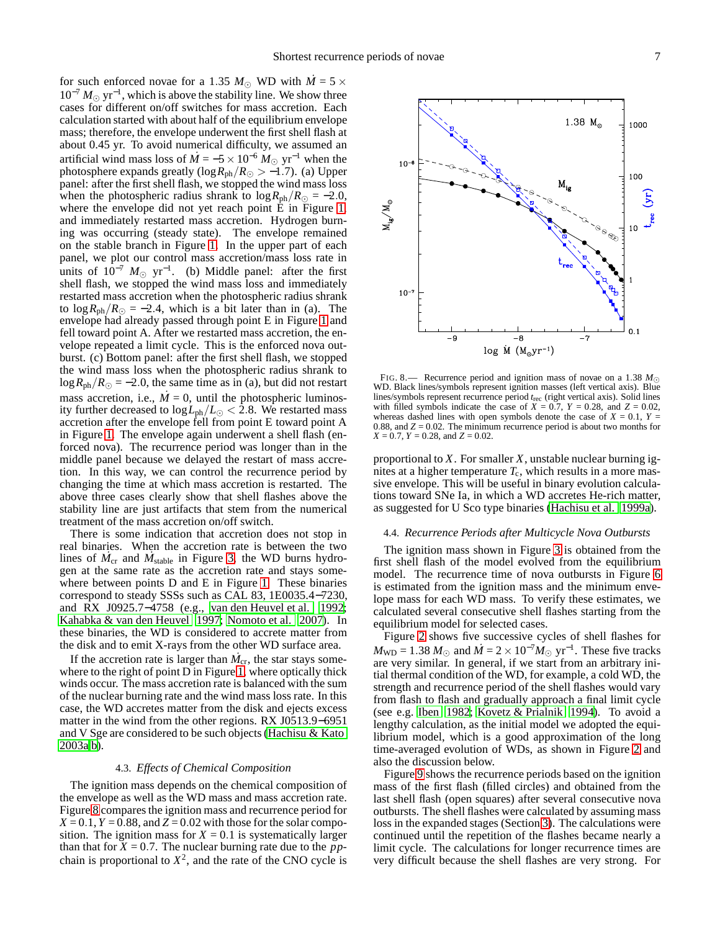for such enforced novae for a 1.35  $M_{\odot}$  WD with  $M = 5 \times$  $10^{-7} M_{\odot}$  yr<sup>-1</sup>, which is above the stability line. We show three cases for different on/off switches for mass accretion. Each calculation started with about half of the equilibrium envelope mass; therefore, the envelope underwent the first shell flash at about 0.45 yr. To avoid numerical difficulty, we assumed an artificial wind mass loss of  $\dot{M} = -5 \times 10^{-6} M_{\odot}$  yr<sup>-1</sup> when the photosphere expands greatly ( $log R_{ph}/R_{\odot} > -1.7$ ). (a) Upper panel: after the first shell flash, we stopped the wind mass loss when the photospheric radius shrank to  $\log R_{\rm ph}/R_{\odot} = -2.0$ , where the envelope did not yet reach point  $\dot{E}$  in Figure [1,](#page-1-0) and immediately restarted mass accretion. Hydrogen burning was occurring (steady state). The envelope remained on the stable branch in Figure [1.](#page-1-0) In the upper part of each panel, we plot our control mass accretion/mass loss rate in units of  $10^{-7}$   $M_{\odot}$  yr<sup>-1</sup>. (b) Middle panel: after the first shell flash, we stopped the wind mass loss and immediately restarted mass accretion when the photospheric radius shrank to  $\log R_{\rm ph}/R_{\odot}$  = -2.4, which is a bit later than in (a). The envelope had already passed through point E in Figure [1](#page-1-0) and fell toward point A. After we restarted mass accretion, the envelope repeated a limit cycle. This is the enforced nova outburst. (c) Bottom panel: after the first shell flash, we stopped the wind mass loss when the photospheric radius shrank to  $\log R_{\rm ph}/R_{\odot} = -2.0$ , the same time as in (a), but did not restart mass accretion, i.e.,  $M = 0$ , until the photospheric luminosity further decreased to  $\log L_{\rm ph}/L_{\odot} < 2.8$ . We restarted mass accretion after the envelope fell from point E toward point A in Figure [1.](#page-1-0) The envelope again underwent a shell flash (enforced nova). The recurrence period was longer than in the middle panel because we delayed the restart of mass accretion. In this way, we can control the recurrence period by changing the time at which mass accretion is restarted. The above three cases clearly show that shell flashes above the stability line are just artifacts that stem from the numerical treatment of the mass accretion on/off switch.

There is some indication that accretion does not stop in real binaries. When the accretion rate is between the two lines of  $M_{cr}$  and  $M_{stable}$  in Figure [3,](#page-3-1) the WD burns hydrogen at the same rate as the accretion rate and stays somewhere between points D and E in Figure [1.](#page-1-0) These binaries correspond to steady SSSs such as CAL 83, 1E0035.4−7230, and RX J0925.7−4758 (e.g., [van den Heuvel et al. 1992;](#page-7-40) [Kahabka & van den Heuvel 1997](#page-7-41); [Nomoto et al. 2007\)](#page-7-15). In these binaries, the WD is considered to accrete matter from the disk and to emit X-rays from the other WD surface area.

If the accretion rate is larger than  $M_{cr}$ , the star stays somewhere to the right of point D in Figure [1,](#page-1-0) where optically thick winds occur. The mass accretion rate is balanced with the sum of the nuclear burning rate and the wind mass loss rate. In this case, the WD accretes matter from the disk and ejects excess matter in the wind from the other regions. RX J0513.9−6951 and V Sge are considered to be such objects [\(Hachisu & Kato](#page-7-42) [2003a](#page-7-42)[,b\)](#page-7-43).

### 4.3. *Effects of Chemical Composition*

<span id="page-6-0"></span>The ignition mass depends on the chemical composition of the envelope as well as the WD mass and mass accretion rate. Figure [8](#page-6-2) compares the ignition mass and recurrence period for  $X = 0.1$ ,  $Y = 0.88$ , and  $Z = 0.02$  with those for the solar composition. The ignition mass for  $X = 0.1$  is systematically larger than that for  $X = 0.7$ . The nuclear burning rate due to the *pp*chain is proportional to  $X^2$ , and the rate of the CNO cycle is



<span id="page-6-2"></span>FIG. 8.— Recurrence period and ignition mass of novae on a 1.38 *M*⊙ WD. Black lines/symbols represent ignition masses (left vertical axis). Blue lines/symbols represent recurrence period *t*rec (right vertical axis). Solid lines with filled symbols indicate the case of  $X = 0.7$ ,  $Y = 0.28$ , and  $Z = 0.02$ , whereas dashed lines with open symbols denote the case of  $X = 0.1$ ,  $Y =$ 0.88, and  $Z = 0.02$ . The minimum recurrence period is about two months for *X* = 0.7, *Y* = 0.28, and *Z* = 0.02.

proportional to *X*. For smaller *X*, unstable nuclear burning ignites at a higher temperature  $T_c$ , which results in a more massive envelope. This will be useful in binary evolution calculations toward SNe Ia, in which a WD accretes He-rich matter, as suggested for U Sco type binaries [\(Hachisu et al. 1999a\)](#page-7-3).

### <span id="page-6-1"></span>4.4. *Recurrence Periods after Multicycle Nova Outbursts*

The ignition mass shown in Figure [3](#page-3-1) is obtained from the first shell flash of the model evolved from the equilibrium model. The recurrence time of nova outbursts in Figure [6](#page-5-1) is estimated from the ignition mass and the minimum envelope mass for each WD mass. To verify these estimates, we calculated several consecutive shell flashes starting from the equilibrium model for selected cases.

Figure [2](#page-2-1) shows five successive cycles of shell flashes for  $M_{WD} = 1.38 M_{\odot}$  and  $\dot{M} = 2 \times 10^{-7} M_{\odot}$  yr<sup>-1</sup>. These five tracks are very similar. In general, if we start from an arbitrary initial thermal condition of the WD, for example, a cold WD, the strength and recurrence period of the shell flashes would vary from flash to flash and gradually approach a final limit cycle (see e.g. [Iben 1982;](#page-7-14) [Kovetz & Prialnik 1994\)](#page-7-38). To avoid a lengthy calculation, as the initial model we adopted the equilibrium model, which is a good approximation of the long time-averaged evolution of WDs, as shown in Figure [2](#page-2-1) and also the discussion below.

Figure [9](#page-7-44) shows the recurrence periods based on the ignition mass of the first flash (filled circles) and obtained from the last shell flash (open squares) after several consecutive nova outbursts. The shell flashes were calculated by assuming mass loss in the expanded stages (Section [3\)](#page-2-0). The calculations were continued until the repetition of the flashes became nearly a limit cycle. The calculations for longer recurrence times are very difficult because the shell flashes are very strong. For